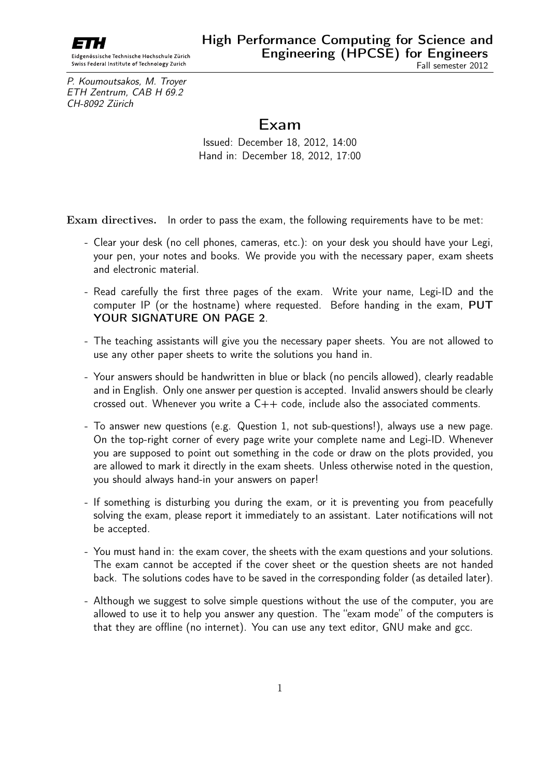

Eidgenössische Technische Hochschule Zürich Swiss Federal Institute of Technology Zurich

P. Koumoutsakos, M. Troyer ETH Zentrum, CAB H 69.2 CH-8092 Zürich

# Exam

Issued: December 18, 2012, 14:00 Hand in: December 18, 2012, 17:00

Exam directives. In order to pass the exam, the following requirements have to be met:

- Clear your desk (no cell phones, cameras, etc.): on your desk you should have your Legi, your pen, your notes and books. We provide you with the necessary paper, exam sheets and electronic material.
- Read carefully the first three pages of the exam. Write your name, Legi-ID and the computer IP (or the hostname) where requested. Before handing in the exam, PUT YOUR SIGNATURE ON PAGE 2.
- The teaching assistants will give you the necessary paper sheets. You are not allowed to use any other paper sheets to write the solutions you hand in.
- Your answers should be handwritten in blue or black (no pencils allowed), clearly readable and in English. Only one answer per question is accepted. Invalid answers should be clearly crossed out. Whenever you write a  $C++$  code, include also the associated comments.
- To answer new questions (e.g. Question 1, not sub-questions!), always use a new page. On the top-right corner of every page write your complete name and Legi-ID. Whenever you are supposed to point out something in the code or draw on the plots provided, you are allowed to mark it directly in the exam sheets. Unless otherwise noted in the question, you should always hand-in your answers on paper!
- If something is disturbing you during the exam, or it is preventing you from peacefully solving the exam, please report it immediately to an assistant. Later notifications will not be accepted.
- You must hand in: the exam cover, the sheets with the exam questions and your solutions. The exam cannot be accepted if the cover sheet or the question sheets are not handed back. The solutions codes have to be saved in the corresponding folder (as detailed later).
- Although we suggest to solve simple questions without the use of the computer, you are allowed to use it to help you answer any question. The "exam mode" of the computers is that they are offline (no internet). You can use any text editor, GNU make and gcc.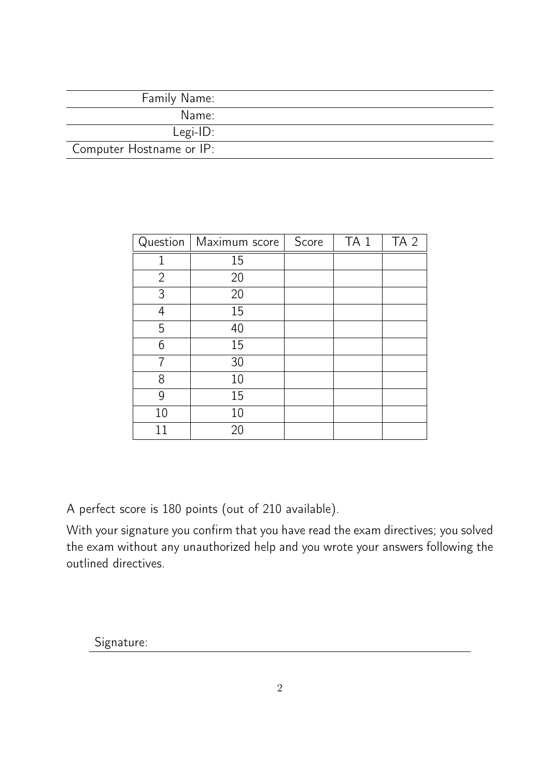| Family Name:             |  |
|--------------------------|--|
| Name:                    |  |
| $Legi-ID:$               |  |
| Computer Hostname or IP: |  |

| Question       | Maximum score | Score | TA <sub>1</sub> | TA <sub>2</sub> |
|----------------|---------------|-------|-----------------|-----------------|
|                | 15            |       |                 |                 |
| $\overline{2}$ | 20            |       |                 |                 |
| 3              | 20            |       |                 |                 |
| 4              | 15            |       |                 |                 |
| 5              | 40            |       |                 |                 |
| 6              | 15            |       |                 |                 |
|                | 30            |       |                 |                 |
| 8              | 10            |       |                 |                 |
| 9              | 15            |       |                 |                 |
| 10             | 10            |       |                 |                 |
| 11             | 20            |       |                 |                 |

A perfect score is 180 points (out of 210 available).

With your signature you confirm that you have read the exam directives; you solved the exam without any unauthorized help and you wrote your answers following the outlined directives.

Signature: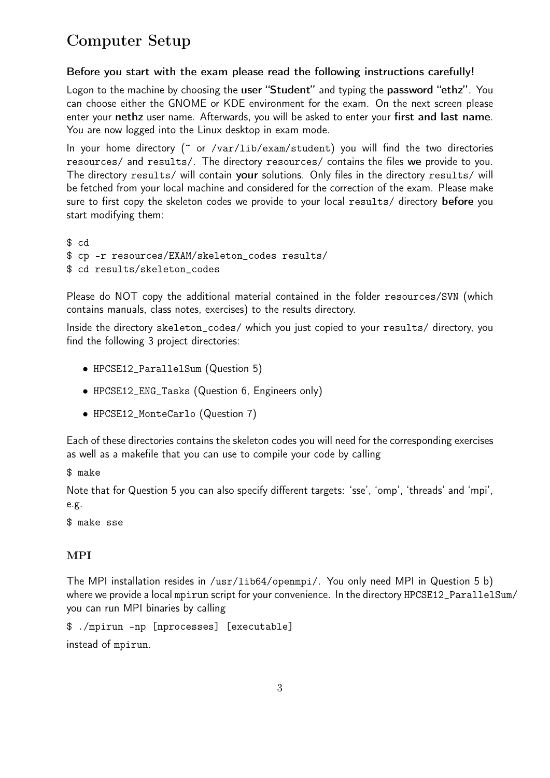# Computer Setup

#### Before you start with the exam please read the following instructions carefully!

Logon to the machine by choosing the user "Student" and typing the password "ethz". You can choose either the GNOME or KDE environment for the exam. On the next screen please enter your nethz user name. Afterwards, you will be asked to enter your first and last name. You are now logged into the Linux desktop in exam mode.

In your home directory (~ or /var/lib/exam/student) you will find the two directories resources/ and results/. The directory resources/ contains the files we provide to you. The directory results/ will contain your solutions. Only files in the directory results/ will be fetched from your local machine and considered for the correction of the exam. Please make sure to first copy the skeleton codes we provide to your local results/ directory before you start modifying them:

\$ cd \$ cp -r resources/EXAM/skeleton\_codes results/ \$ cd results/skeleton\_codes

Please do NOT copy the additional material contained in the folder resources/SVN (which contains manuals, class notes, exercises) to the results directory.

Inside the directory skeleton\_codes/ which you just copied to your results/ directory, you find the following 3 project directories:

- HPCSE12\_ParallelSum (Question 5)
- HPCSE12\_ENG\_Tasks (Question 6, Engineers only)
- HPCSE12\_MonteCarlo (Question 7)

Each of these directories contains the skeleton codes you will need for the corresponding exercises as well as a makefile that you can use to compile your code by calling

\$ make

Note that for Question 5 you can also specify different targets: 'sse', 'omp', 'threads' and 'mpi', e.g.

\$ make sse

#### MPI

The MPI installation resides in /usr/lib64/openmpi/. You only need MPI in Question 5 b) where we provide a local mpirun script for your convenience. In the directory HPCSE12\_ParallelSum/ you can run MPI binaries by calling

```
$ ./mpirun -np [nprocesses] [executable]
instead of mpirun.
```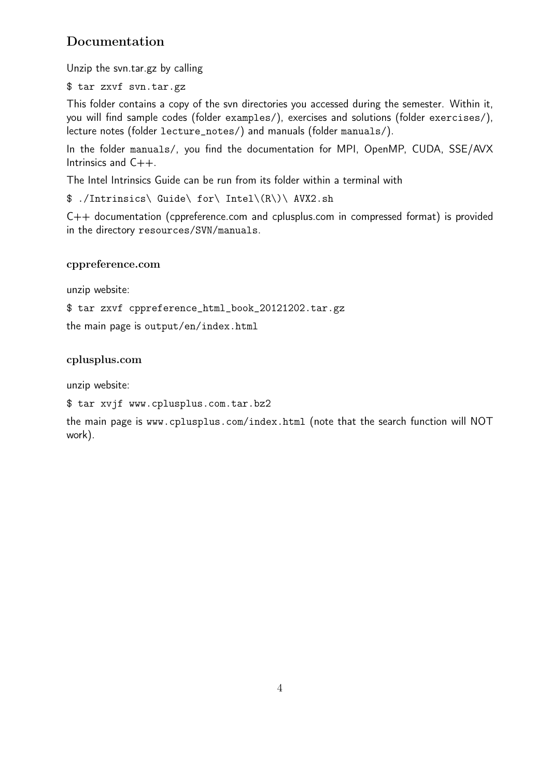## Documentation

Unzip the svn.tar.gz by calling

\$ tar zxvf svn.tar.gz

This folder contains a copy of the svn directories you accessed during the semester. Within it, you will find sample codes (folder examples/), exercises and solutions (folder exercises/), lecture notes (folder lecture\_notes/) and manuals (folder manuals/).

In the folder manuals/, you find the documentation for MPI, OpenMP, CUDA, SSE/AVX Intrinsics and C++.

The Intel Intrinsics Guide can be run from its folder within a terminal with

\$ ./Intrinsics\ Guide\ for\ Intel\(R\)\ AVX2.sh

C++ documentation (cppreference.com and cplusplus.com in compressed format) is provided in the directory resources/SVN/manuals.

#### cppreference.com

unzip website:

\$ tar zxvf cppreference\_html\_book\_20121202.tar.gz

the main page is output/en/index.html

#### cplusplus.com

unzip website:

```
$ tar xvjf www.cplusplus.com.tar.bz2
```
the main page is www.cplusplus.com/index.html (note that the search function will NOT work).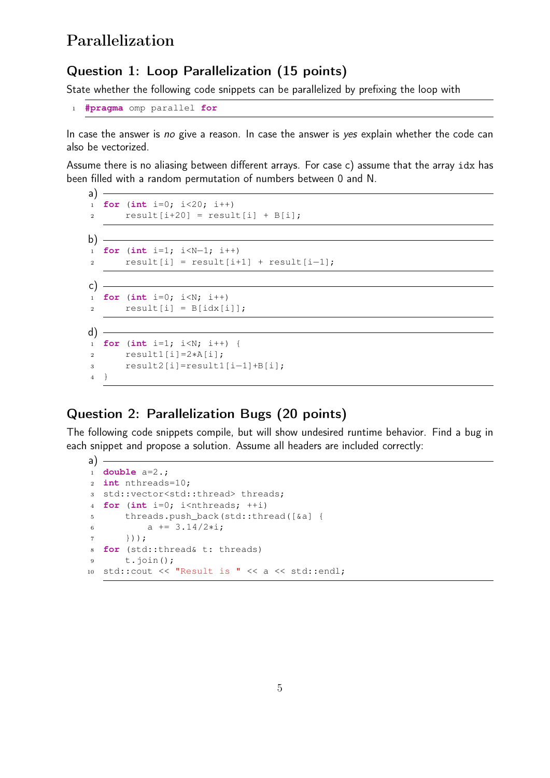# Parallelization

#### Question 1: Loop Parallelization (15 points)

State whether the following code snippets can be parallelized by prefixing the loop with

```
1 #pragma omp parallel for
```
In case the answer is no give a reason. In case the answer is yes explain whether the code can also be vectorized.

Assume there is no aliasing between different arrays. For case c) assume that the array idx has been filled with a random permutation of numbers between 0 and N.

```
a) -1 for (int i=0; i<20; i++)
r = result[i+20] = result[i] + B[i];b) -
1 for (int i=1; i<N−1; i++)
r result[i] = result[i+1] + result[i-1];
c) -1 for (int i=0; i<N; i++)
r result [i] = B[idx[i]];
d) -
1 for (int i=1; i<N; i++) {
2 result1[i]=2∗A[i];
3 result2[i]=result1[i−1]+B[i];
4 }
```
## Question 2: Parallelization Bugs (20 points)

The following code snippets compile, but will show undesired runtime behavior. Find a bug in each snippet and propose a solution. Assume all headers are included correctly:

```
a) =1 double a=2.;
2 int nthreads=10;
3 std::vector<std::thread> threads;
4 for (int i=0; i<nthreads; ++i)
5 threads.push_back(std::thread([&a] {
6 a += 3.14/2* i;7 }));
8 for (std::thread& t: threads)
9 t.join();
10 std::cout << "Result is " << a << std::endl;
```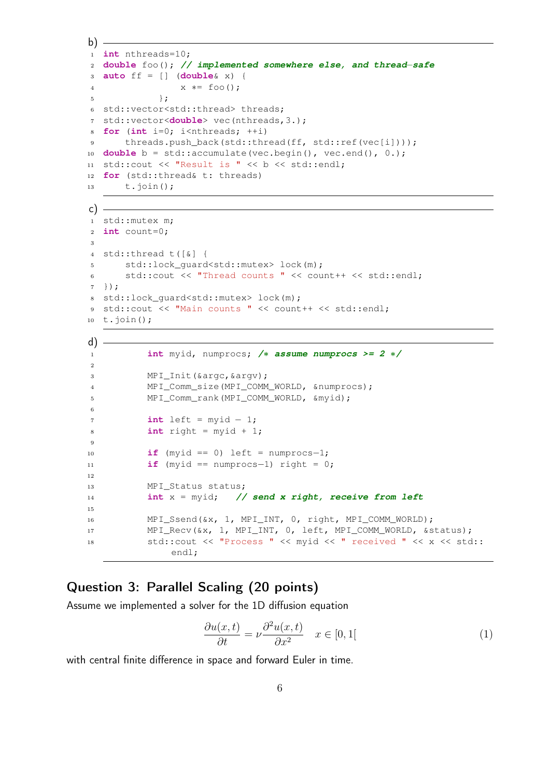```
b)1 int nthreads=10;
2 double foo(); // implemented somewhere else, and thread−safe
3 auto ff = [] (double& x) {
4 x ∗= foo();
5 \quad \qquad \};
6 std::vector<std::thread> threads;
7 std::vector<double> vec(nthreads,3.);
8 for (int i=0; i<nthreads; ++i)
9 threads.push back(std::thread(ff, std::ref(vec[i])));
10 double b = std::accumulate(vec.begin(), vec.end(), 0.);
11 std::cout << "Result is " << b << std::endl;
12 for (std::thread& t: threads)
13 t.join();
```

```
c) -1 std::mutex m;
2 int count=0;
3
4 std::thread t([&] {
5 std::lock_guard<std::mutex> lock(m);
6 std::cout << "Thread counts " << count++ << std::endl;
7 });
8 std::lock_guard<std::mutex> lock(m);
9 std::cout << "Main counts " << count++ << std::endl;
10 t.join();
```

```
d) -
1 int myid, numprocs; /∗ assume numprocs >= 2 ∗/
2
3 MPI Init(&argc, &argv);
4 MPI_Comm_size(MPI_COMM_WORLD, &numprocs);
5 MPI_Comm_rank(MPI_COMM_WORLD, &myid);
6
7 int left = myid - 1;
8 int right = myid + 1;
9
10 if (myid == 0) left = numprocs-1;
11 if (myid == numprocs−1) right = 0;
12
13 MPI_Status status;
14 int x = myid; // send x right, receive from left
15
16 MPI_Ssend(&x, 1, MPI_INT, 0, right, MPI_COMM_WORLD);
17 MPI_Recv(&x, 1, MPI_INT, 0, left, MPI_COMM_WORLD, &status);
18 std::cout << "Process " << myid << " received " << x << std::
             endl;
```
### Question 3: Parallel Scaling (20 points)

Assume we implemented a solver for the 1D diffusion equation

$$
\frac{\partial u(x,t)}{\partial t} = \nu \frac{\partial^2 u(x,t)}{\partial x^2} \quad x \in [0,1]
$$
 (1)

with central finite difference in space and forward Euler in time.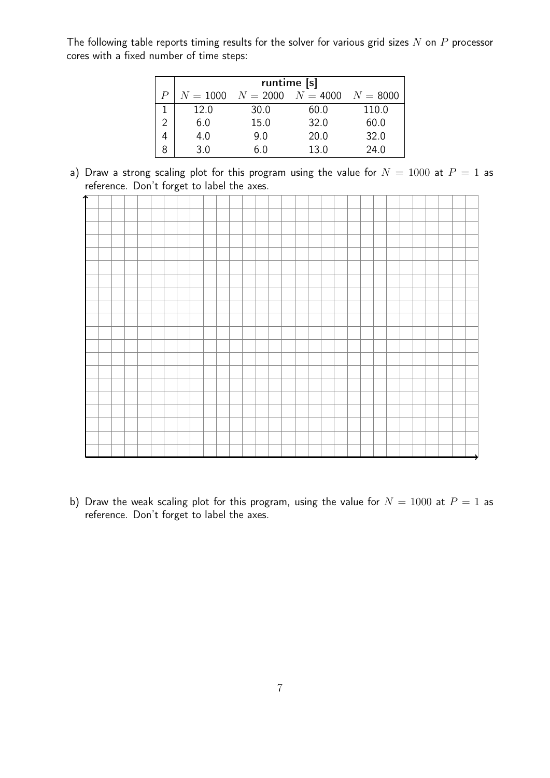The following table reports timing results for the solver for various grid sizes  $N$  on  $P$  processor cores with a fixed number of time steps:

|   | runtime [s] |                                  |      |          |  |  |  |  |  |  |  |  |  |  |
|---|-------------|----------------------------------|------|----------|--|--|--|--|--|--|--|--|--|--|
| P |             | $N = 1000$ $N = 2000$ $N = 4000$ |      | $N=8000$ |  |  |  |  |  |  |  |  |  |  |
|   | 12.0        | 30.0                             | 60.0 | 110.0    |  |  |  |  |  |  |  |  |  |  |
| 2 | 6.0         | 15.0                             | 32.0 | 60.0     |  |  |  |  |  |  |  |  |  |  |
|   | 4.0         | 9.0                              | 20.0 | 32.0     |  |  |  |  |  |  |  |  |  |  |
|   | 3 O         | 6 Ი                              | 13.0 | 24.0     |  |  |  |  |  |  |  |  |  |  |

a) Draw a strong scaling plot for this program using the value for  $N = 1000$  at  $P = 1$  as reference. Don't forget to label the axes.



b) Draw the weak scaling plot for this program, using the value for  $N = 1000$  at  $P = 1$  as reference. Don't forget to label the axes.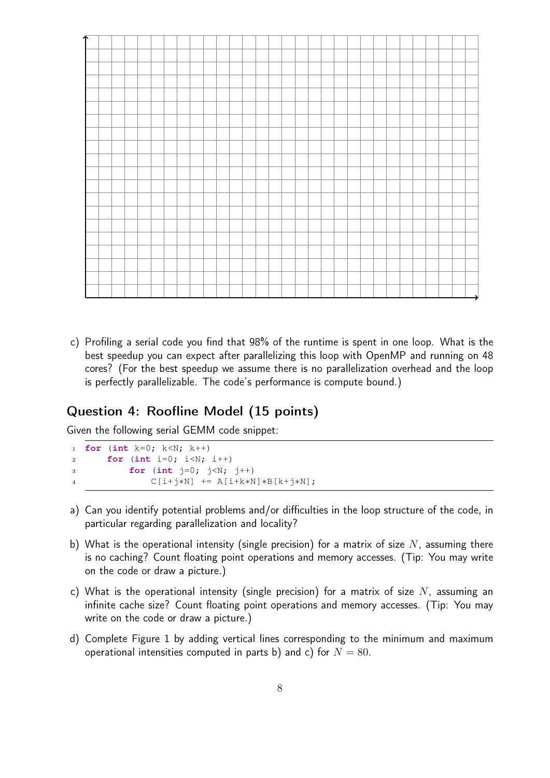c) Profiling a serial code you find that 98% of the runtime is spent in one loop. What is the best speedup you can expect after parallelizing this loop with OpenMP and running on 48 cores? (For the best speedup we assume there is no parallelization overhead and the loop is perfectly parallelizable. The code's performance is compute bound.)

## Question 4: Roofline Model (15 points)

Given the following serial GEMM code snippet:

```
1 for (int k=0; k<N; k++)
2 for (int i=0; i<N; i++)
3 for (int j=0; j<N; j++)
4 C[i+j∗N] += A[i+k∗N]∗B[k+j∗N];
```
- a) Can you identify potential problems and/or difficulties in the loop structure of the code, in particular regarding parallelization and locality?
- b) What is the operational intensity (single precision) for a matrix of size  $N$ , assuming there is no caching? Count floating point operations and memory accesses. (Tip: You may write on the code or draw a picture.)
- c) What is the operational intensity (single precision) for a matrix of size  $N$ , assuming an infinite cache size? Count floating point operations and memory accesses. (Tip: You may write on the code or draw a picture.)
- d) Complete Figure 1 by adding vertical lines corresponding to the minimum and maximum operational intensities computed in parts b) and c) for  $N = 80$ .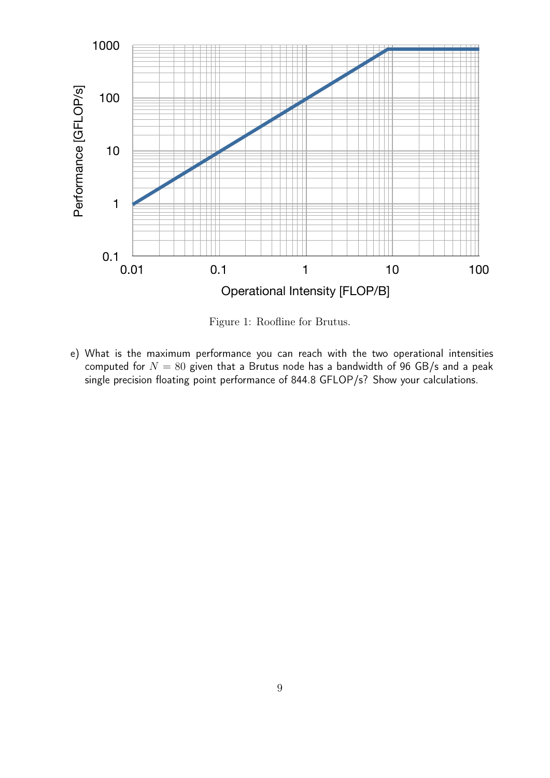

Figure 1: Roofline for Brutus.

e) What is the maximum performance you can reach with the two operational intensities computed for  $N = 80$  given that a Brutus node has a bandwidth of 96 GB/s and a peak single precision floating point performance of 844.8 GFLOP/s? Show your calculations.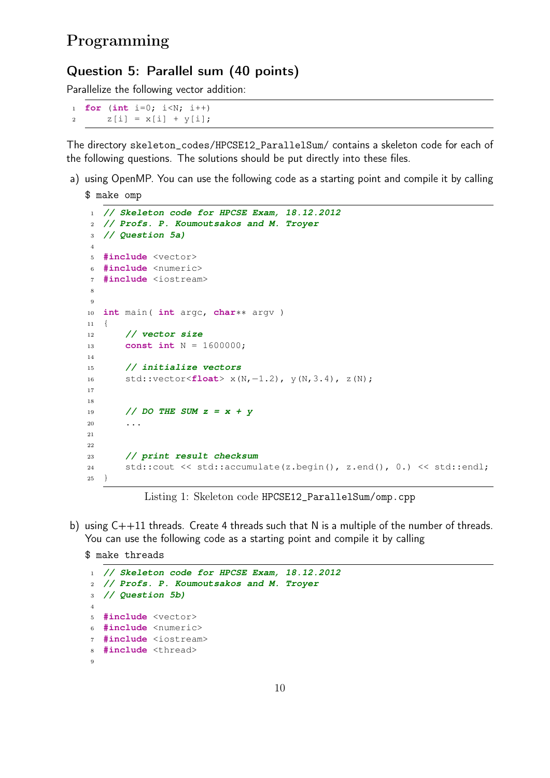## Question 5: Parallel sum (40 points)

Parallelize the following vector addition:

```
1 for (int i=0; i<N; i++)
2 Z[i] = X[i] + Y[i];
```
The directory skeleton\_codes/HPCSE12\_ParallelSum/ contains a skeleton code for each of the following questions. The solutions should be put directly into these files.

a) using OpenMP. You can use the following code as a starting point and compile it by calling \$ make omp

```
1 // Skeleton code for HPCSE Exam, 18.12.2012
2 // Profs. P. Koumoutsakos and M. Troyer
3 // Question 5a)
4
5 #include <vector>
6 #include <numeric>
7 #include <iostream>
8
9
10 int main( int argc, char∗∗ argv )
11 \quad \{12 // vector size
13 const int N = 1600000;
14
15 // initialize vectors
16 std::vector<float> x(N,−1.2), y(N,3.4), z(N);
17
18
19 // DO THE SUM z = x + y
20 ...
2122
23 // print result checksum
24 std::cout << std::accumulate(z.begin(), z.end(), 0.) << std::endl;
25 }
```
Listing 1: Skeleton code HPCSE12\_ParallelSum/omp.cpp

b) using C++11 threads. Create 4 threads such that N is a multiple of the number of threads. You can use the following code as a starting point and compile it by calling

\$ make threads

```
1 // Skeleton code for HPCSE Exam, 18.12.2012
2 // Profs. P. Koumoutsakos and M. Troyer
3 // Question 5b)
4
5 #include <vector>
6 #include <numeric>
7 #include <iostream>
8 #include <thread>
9
```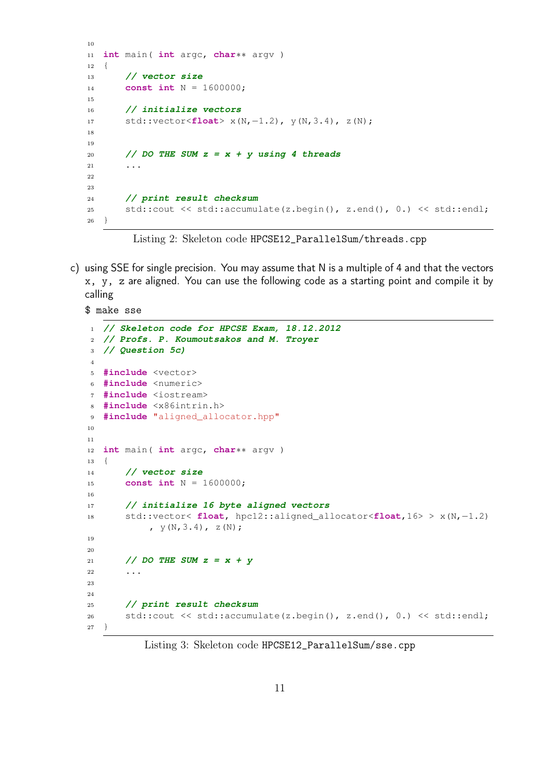```
10
11 int main( int argc, char∗∗ argv )
12 \quad \{13 // vector size
14 const int N = 1600000;
15
16 // initialize vectors
17 std::vector<float> x(N,−1.2), y(N,3.4), z(N);
18
19
20 // DO THE SUM z = x + y using 4 threads
21 . . . .
22
23
24 // print result checksum
25 std::cout << std::accumulate(z.begin(), z.end(), 0.) << std::endl;
26 }
```
Listing 2: Skeleton code HPCSE12\_ParallelSum/threads.cpp

c) using SSE for single precision. You may assume that N is a multiple of 4 and that the vectors x, y, z are aligned. You can use the following code as a starting point and compile it by calling

```
$ make sse
1 // Skeleton code for HPCSE Exam, 18.12.2012
2 // Profs. P. Koumoutsakos and M. Troyer
3 // Question 5c)
4
5 #include <vector>
6 #include <numeric>
7 #include <iostream>
8 #include <x86intrin.h>
9 #include "aligned_allocator.hpp"
10
11
12 int main( int argc, char∗∗ argv )
13 {
14 // vector size
15 const int N = 1600000;
16
17 // initialize 16 byte aligned vectors
18 std::vector< float, hpc12::aligned_allocator<float,16> > x(N,−1.2)
           , Y(N, 3.4), Z(N);
19
20
21 // DO THE SUM z = x + y
22 \cdots23
24
25 // print result checksum
26 std::cout << std::accumulate(z.begin(), z.end(), 0.) << std::endl;
27 }
```
Listing 3: Skeleton code HPCSE12\_ParallelSum/sse.cpp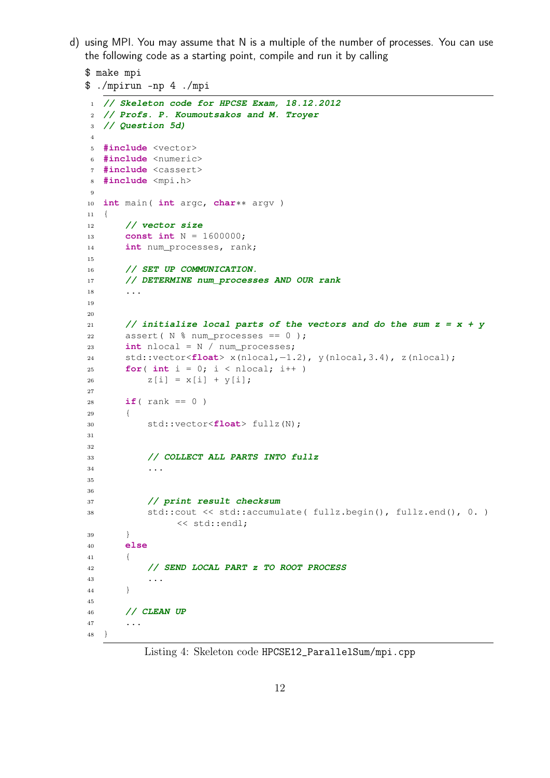d) using MPI. You may assume that N is a multiple of the number of processes. You can use the following code as a starting point, compile and run it by calling

```
$ make mpi
$ ./mpirun -np 4 ./mpi
```

```
1 // Skeleton code for HPCSE Exam, 18.12.2012
2 // Profs. P. Koumoutsakos and M. Troyer
3 // Question 5d)
4
5 #include <vector>
6 #include <numeric>
7 #include <cassert>
8 #include <mpi.h>
9
10 int main( int argc, char∗∗ argv )
11 {
12 // vector size
13 const int N = 1600000;
14 int num_processes, rank;
15
16 // SET UP COMMUNICATION.
17 // DETERMINE num_processes AND OUR rank
18 ...
19
20
21 // initialize local parts of the vectors and do the sum z = x + y
22 assert( N % num_processes == 0 );
23 int nlocal = N / num_processes;
24 std::vector<float> x(nlocal,−1.2), y(nlocal,3.4), z(nlocal);
25 for( int i = 0; i < nlocal; i++)26 Z[i] = X[i] + Y[i];27
28 if( rank == 0 )
29 {
30 std::vector<float> fullz(N);
31
32
33 // COLLECT ALL PARTS INTO fullz
34 ...
35
36
37 // print result checksum
38 std::cout << std::accumulate( fullz.begin(), fullz.end(), 0. )
              << std::endl;
39 }
40 else
41 {
42 // SEND LOCAL PART z TO ROOT PROCESS
43 ...
44 \hspace{14mm} \Big\}45
46 // CLEAN UP
47 ...
48 }
```
Listing 4: Skeleton code HPCSE12\_ParallelSum/mpi.cpp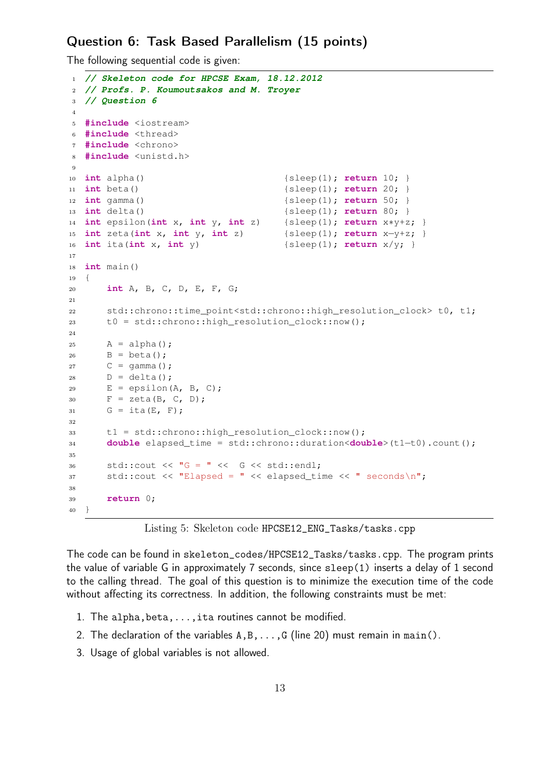#### Question 6: Task Based Parallelism (15 points)

The following sequential code is given:

```
1 // Skeleton code for HPCSE Exam, 18.12.2012
2 // Profs. P. Koumoutsakos and M. Troyer
3 // Question 6
4
5 #include <iostream>
6 #include <thread>
7 #include <chrono>
8 #include <unistd.h>
9
10 int alpha() {sleep(1)}; return 10; }
11 int beta() {sleep(1); return 20; }
12 int gamma() {sleep(1); return 50; }
13 int delta() {sleep(1)}; return 80; }
14 int epsilon(int x, int y, int z) {sleep(1); return x∗y+z; }
15 int zeta(int x, int y, int z) {sleep(1); return x−y+z; }
16 int ita(int x, int y) {sleep(1); return x/y; }
17
18 int main()
19 {
20 int A, B, C, D, E, F, G;
21
22 std::chrono::time point<std::chrono::high_resolution_clock> t0, t1;
23 t0 = std::chrono::high_resolution_clock::now();
2425 A = alpha();
26 B = \text{beta}();27 C = \text{gamma}();28 D = delta();
29 E = \text{epsilon}(A, B, C);30 F = zeta(B, C, D);31 G = ita(E, F);
32
33 t1 = std::chrono::high_resolution_clock::now();
34 double elapsed_time = std::chrono::duration<double>(t1−t0).count();
35
36 std::cout << \mathbb{F}_G = \mathbb{F} << G \ll \text{std::endl};
37 std::cout << "Elapsed = " << elapsed_time << " seconds\n";
38
39 return 0;
40 }
```
Listing 5: Skeleton code HPCSE12\_ENG\_Tasks/tasks.cpp

The code can be found in skeleton\_codes/HPCSE12\_Tasks/tasks.cpp. The program prints the value of variable G in approximately 7 seconds, since sleep(1) inserts a delay of 1 second to the calling thread. The goal of this question is to minimize the execution time of the code without affecting its correctness. In addition, the following constraints must be met:

- 1. The alpha,beta,...,ita routines cannot be modified.
- 2. The declaration of the variables  $A, B, \ldots, G$  (line 20) must remain in main().
- 3. Usage of global variables is not allowed.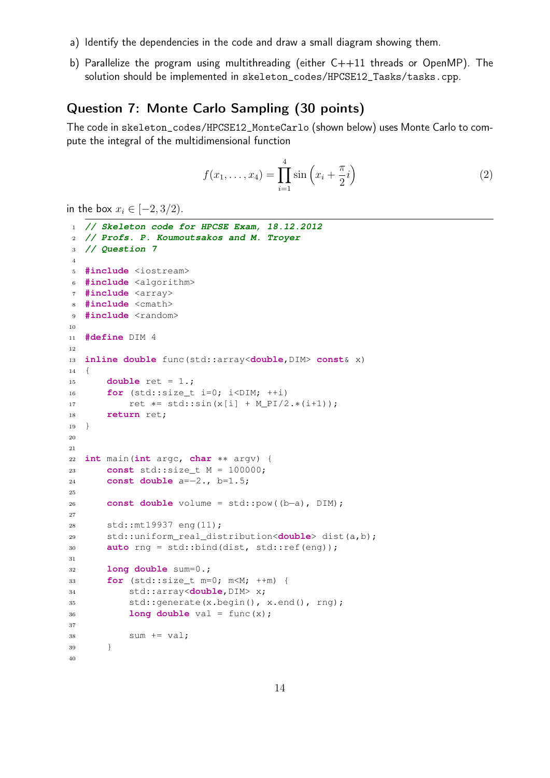- a) Identify the dependencies in the code and draw a small diagram showing them.
- b) Parallelize the program using multithreading (either C++11 threads or OpenMP). The solution should be implemented in skeleton\_codes/HPCSE12\_Tasks/tasks.cpp.

## Question 7: Monte Carlo Sampling (30 points)

The code in skeleton\_codes/HPCSE12\_MonteCarlo (shown below) uses Monte Carlo to compute the integral of the multidimensional function

$$
f(x_1, ..., x_4) = \prod_{i=1}^{4} \sin\left(x_i + \frac{\pi}{2}i\right)
$$
 (2)

in the box  $x_i \in [-2, 3/2)$ .

```
1 // Skeleton code for HPCSE Exam, 18.12.2012
2 // Profs. P. Koumoutsakos and M. Troyer
3 // Question 7
4
5 #include <iostream>
6 #include <algorithm>
7 #include <array>
8 #include <cmath>
9 #include <random>
10
11 #define DIM 4
12
13 inline double func(std::array<double,DIM> const& x)
14 \quad \{15 double ret = 1.;
16 for (std::size_t i=0; i<DIM; ++i)
17 ret *= std::sin(x[i] + M_PI/2.*(i+1));
18 return ret;
19 }
2021
22 int main(int argc, char ∗∗ argv) {
23 const std::size_t M = 100000;
24 const double a=−2., b=1.5;
25
26 const double volume = std::pow((b−a), DIM);
27
28 std::mt19937 eng(11);
29 std::uniform_real_distribution<double> dist(a,b);
30 auto rng = std::bind(dist, std::ref(eng));
31
32 long double sum=0.;
33 for (std::size_t m=0; m<M; ++m) {
34 std::array<double,DIM> x;
35 std::generate(x.begin(), x.end(), rng);
36 long double val = func(x);
37
38 sum += val;
39 }
40
```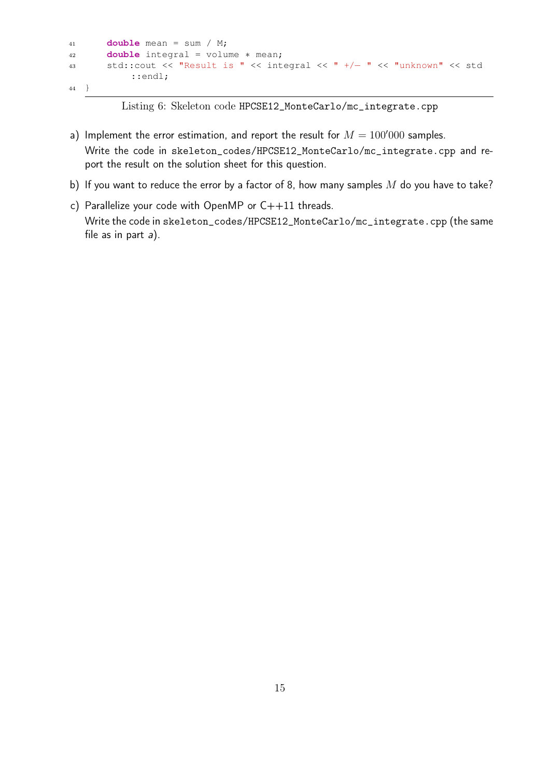```
41 double mean = sum / M;
42 double integral = volume ∗ mean;
43 std::cout << "Result is " << integral << " +/− " << "unknown" << std
          ::endl;
44 }
```
Listing 6: Skeleton code HPCSE12\_MonteCarlo/mc\_integrate.cpp

- a) Implement the error estimation, and report the result for  $M = 100'000$  samples. Write the code in skeleton\_codes/HPCSE12\_MonteCarlo/mc\_integrate.cpp and report the result on the solution sheet for this question.
- b) If you want to reduce the error by a factor of 8, how many samples  $M$  do you have to take?
- c) Parallelize your code with OpenMP or C++11 threads. Write the code in skeleton\_codes/HPCSE12\_MonteCarlo/mc\_integrate.cpp (the same file as in part a).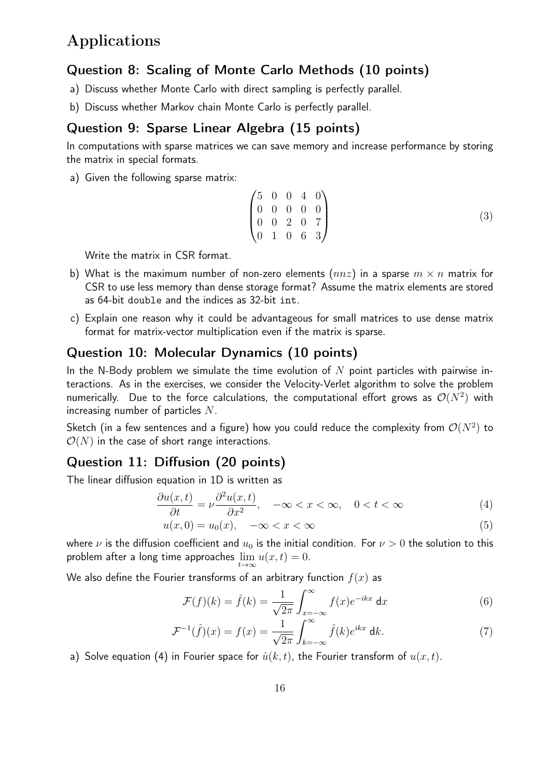## Applications

#### Question 8: Scaling of Monte Carlo Methods (10 points)

- a) Discuss whether Monte Carlo with direct sampling is perfectly parallel.
- b) Discuss whether Markov chain Monte Carlo is perfectly parallel.

### Question 9: Sparse Linear Algebra (15 points)

In computations with sparse matrices we can save memory and increase performance by storing the matrix in special formats.

a) Given the following sparse matrix:

$$
\begin{pmatrix} 5 & 0 & 0 & 4 & 0 \\ 0 & 0 & 0 & 0 & 0 \\ 0 & 0 & 2 & 0 & 7 \\ 0 & 1 & 0 & 6 & 3 \end{pmatrix}
$$
 (3)

Write the matrix in CSR format.

- b) What is the maximum number of non-zero elements  $(nnz)$  in a sparse  $m \times n$  matrix for CSR to use less memory than dense storage format? Assume the matrix elements are stored as 64-bit double and the indices as 32-bit int.
- c) Explain one reason why it could be advantageous for small matrices to use dense matrix format for matrix-vector multiplication even if the matrix is sparse.

#### Question 10: Molecular Dynamics (10 points)

In the N-Body problem we simulate the time evolution of N point particles with pairwise interactions. As in the exercises, we consider the Velocity-Verlet algorithm to solve the problem numerically. Due to the force calculations, the computational effort grows as  $\mathcal{O}(N^2)$  with increasing number of particles N.

Sketch (in a few sentences and a figure) how you could reduce the complexity from  $\mathcal{O}(N^2)$  to  $\mathcal{O}(N)$  in the case of short range interactions.

#### Question 11: Diffusion (20 points)

The linear diffusion equation in 1D is written as

$$
\frac{\partial u(x,t)}{\partial t} = \nu \frac{\partial^2 u(x,t)}{\partial x^2}, \quad -\infty < x < \infty, \quad 0 < t < \infty \tag{4}
$$

$$
u(x,0) = u_0(x), \quad -\infty < x < \infty \tag{5}
$$

where  $\nu$  is the diffusion coefficient and  $u_0$  is the initial condition. For  $\nu > 0$  the solution to this problem after a long time approaches  $\lim_{t\to\infty} u(x,t) = 0$ .

We also define the Fourier transforms of an arbitrary function  $f(x)$  as

$$
\mathcal{F}(f)(k) = \hat{f}(k) = \frac{1}{\sqrt{2\pi}} \int_{x=-\infty}^{\infty} f(x)e^{-ikx} dx
$$
 (6)

$$
\mathcal{F}^{-1}(\hat{f})(x) = f(x) = \frac{1}{\sqrt{2\pi}} \int_{k=-\infty}^{\infty} \hat{f}(k)e^{ikx} dk.
$$
 (7)

a) Solve equation (4) in Fourier space for  $\hat{u}(k, t)$ , the Fourier transform of  $u(x, t)$ .